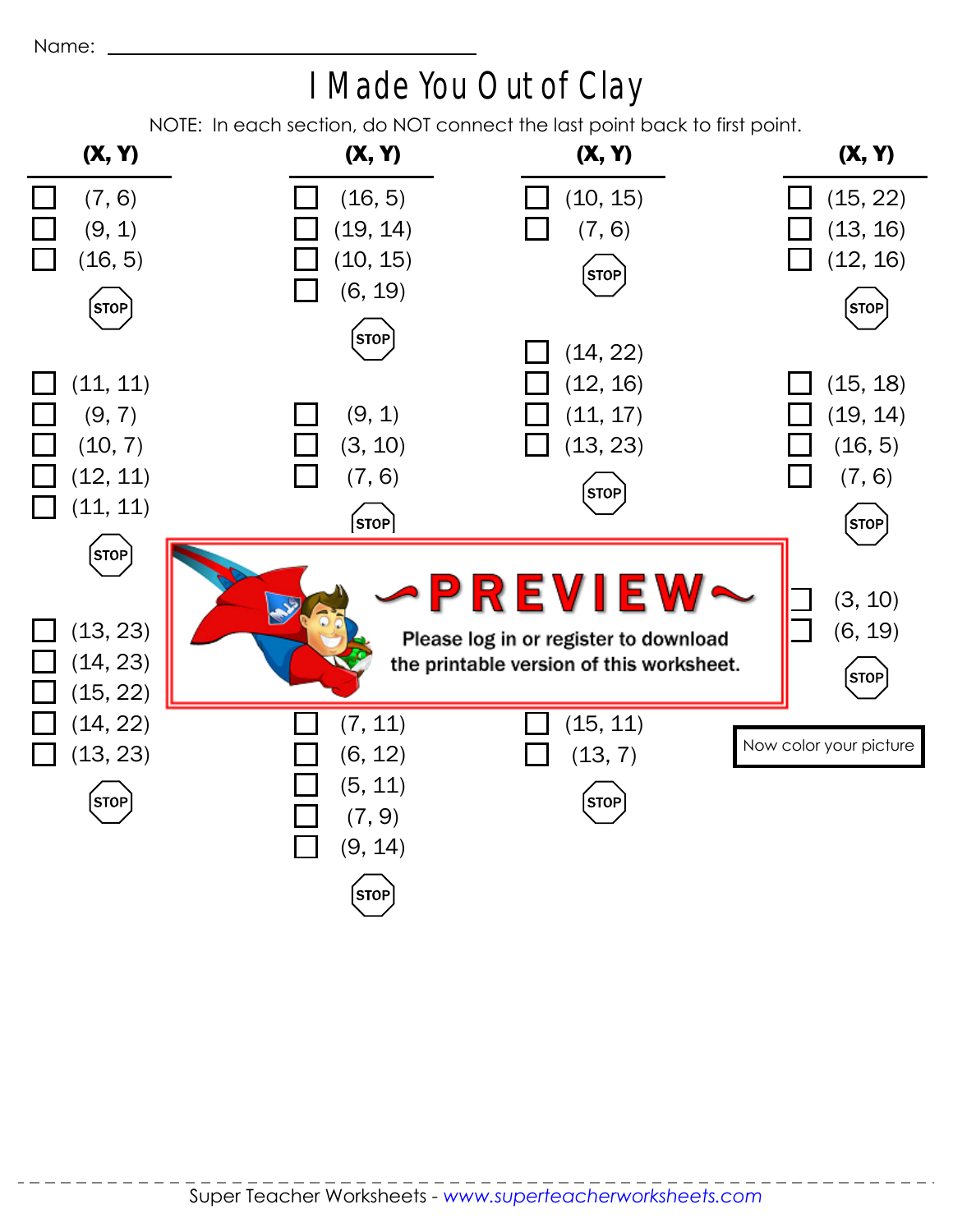## I Made You Out of Clay

NOTE: In each section, do NOT connect the last point back to first point.

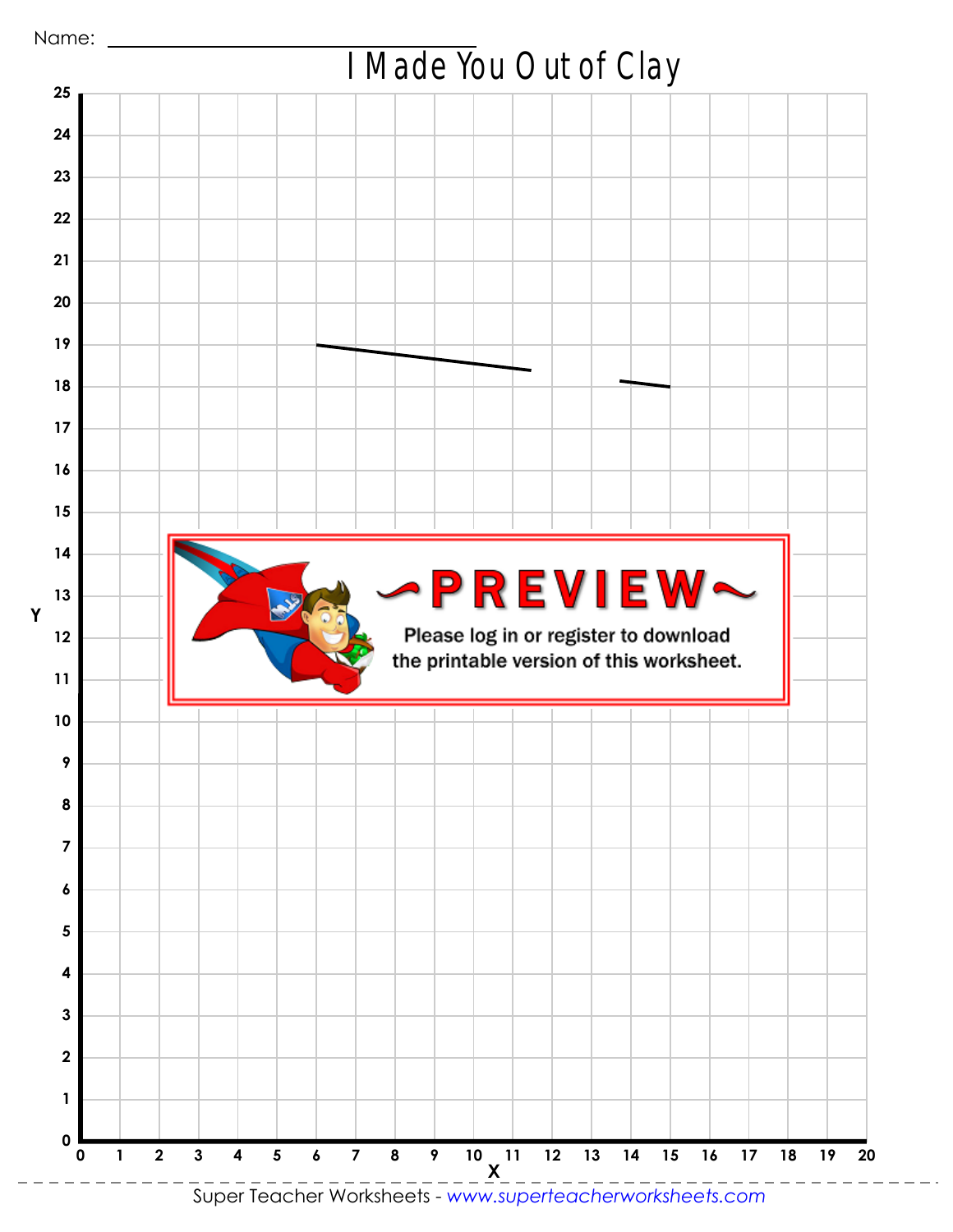

Super Teacher Worksheets - *www.superteacherworksheets.com*